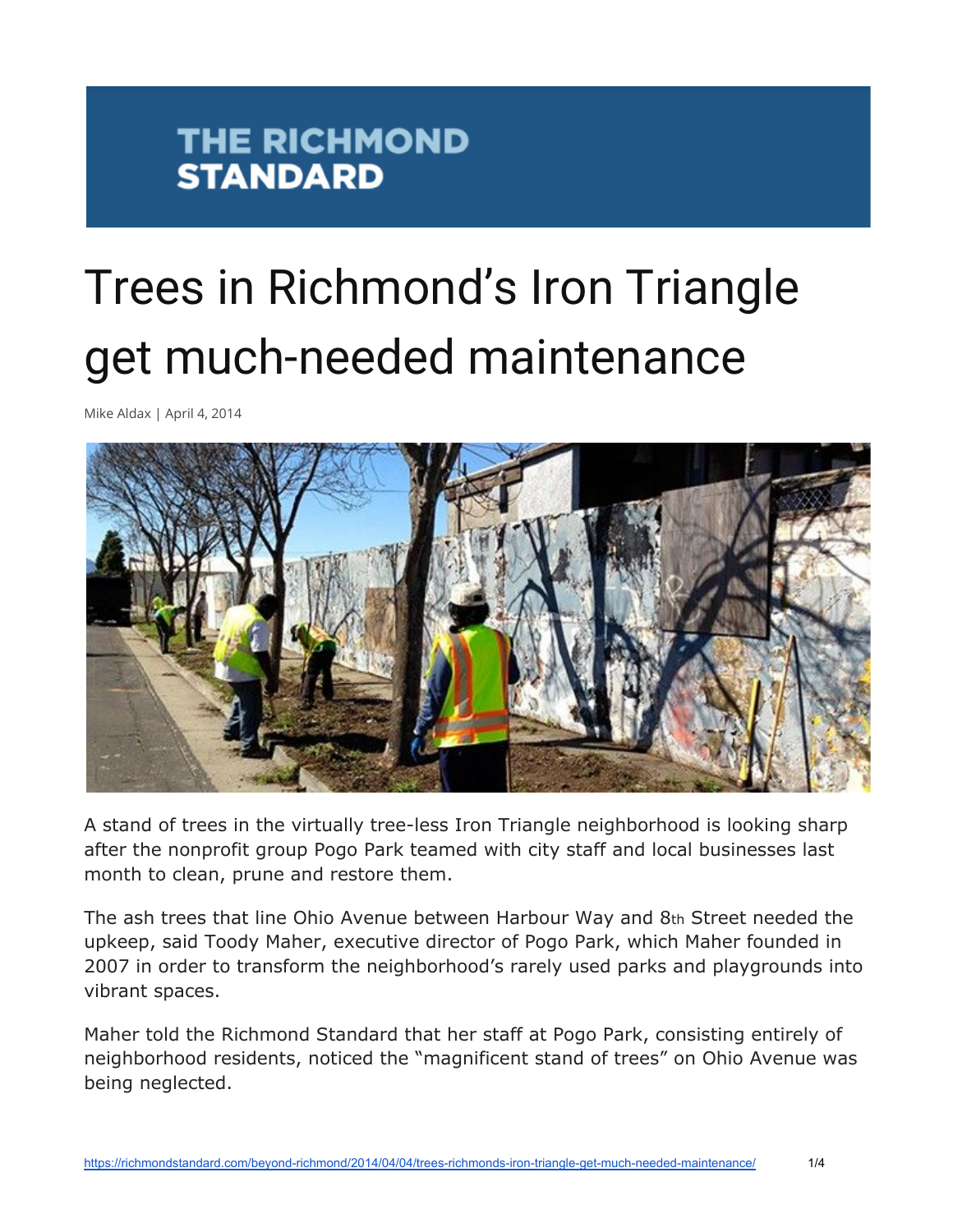#### **THE RICHMOND STANDARD**

# Trees in Richmond's Iron Triangle get much-needed maintenance

Mike Aldax | April 4, 2014



A stand of trees in the virtually tree-less Iron Triangle neighborhood is looking sharp after the nonprofit group Pogo Park teamed with city staff and local businesses last month to clean, prune and restore them.

The ash trees that line Ohio Avenue between Harbour Way and 8th Street needed the upkeep, said Toody Maher, executive director of Pogo Park, which Maher founded in 2007 in order to transform the neighborhood's rarely used parks and playgrounds into vibrant spaces.

Maher told the Richmond Standard that her staff at Pogo Park, consisting entirely of neighborhood residents, noticed the "magnificent stand of trees" on Ohio Avenue was being neglected.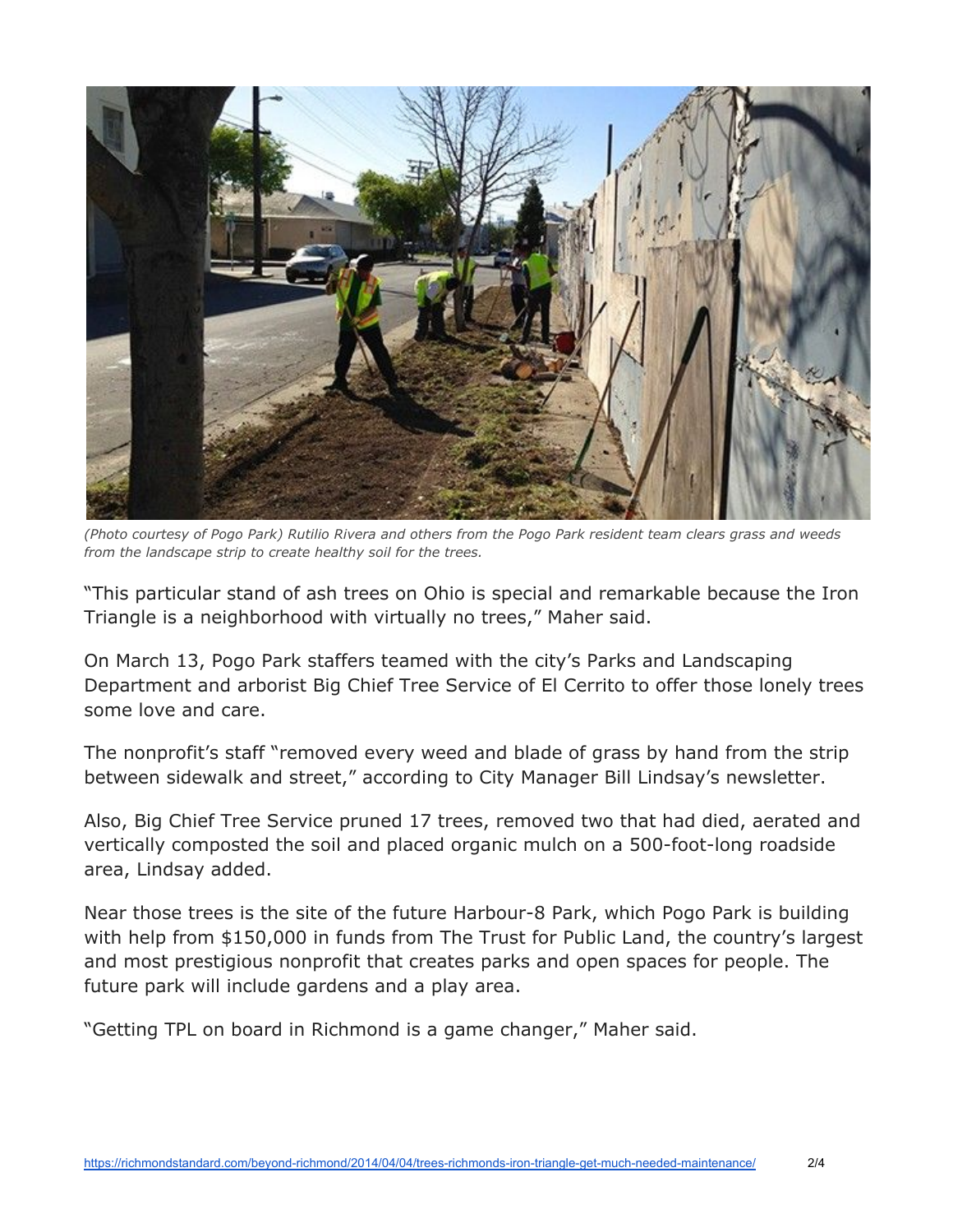

(Photo courtesy of Pogo Park) Rutilio Rivera and others from the Pogo Park resident team clears grass and weeds *from the landscape strip to create healthy soil for the trees.*

"This particular stand of ash trees on Ohio is special and remarkable because the Iron Triangle is a neighborhood with virtually no trees," Maher said.

On March 13, Pogo Park staffers teamed with the city's Parks and Landscaping Department and arborist Big Chief Tree Service of El Cerrito to offer those lonely trees some love and care.

The nonprofit's staff "removed every weed and blade of grass by hand from the strip between sidewalk and street," according to City Manager Bill Lindsay's newsletter.

Also, Big Chief Tree Service pruned 17 trees, removed two that had died, aerated and vertically composted the soil and placed organic mulch on a 500-foot-long roadside area, Lindsay added.

Near those trees is the site of the future Harbour-8 Park, which Pogo Park is building with help from \$150,000 in funds from The Trust for Public Land, the country's largest and most prestigious nonprofit that creates parks and open spaces for people. The future park will include gardens and a play area.

"Getting TPL on board in Richmond is a game changer," Maher said.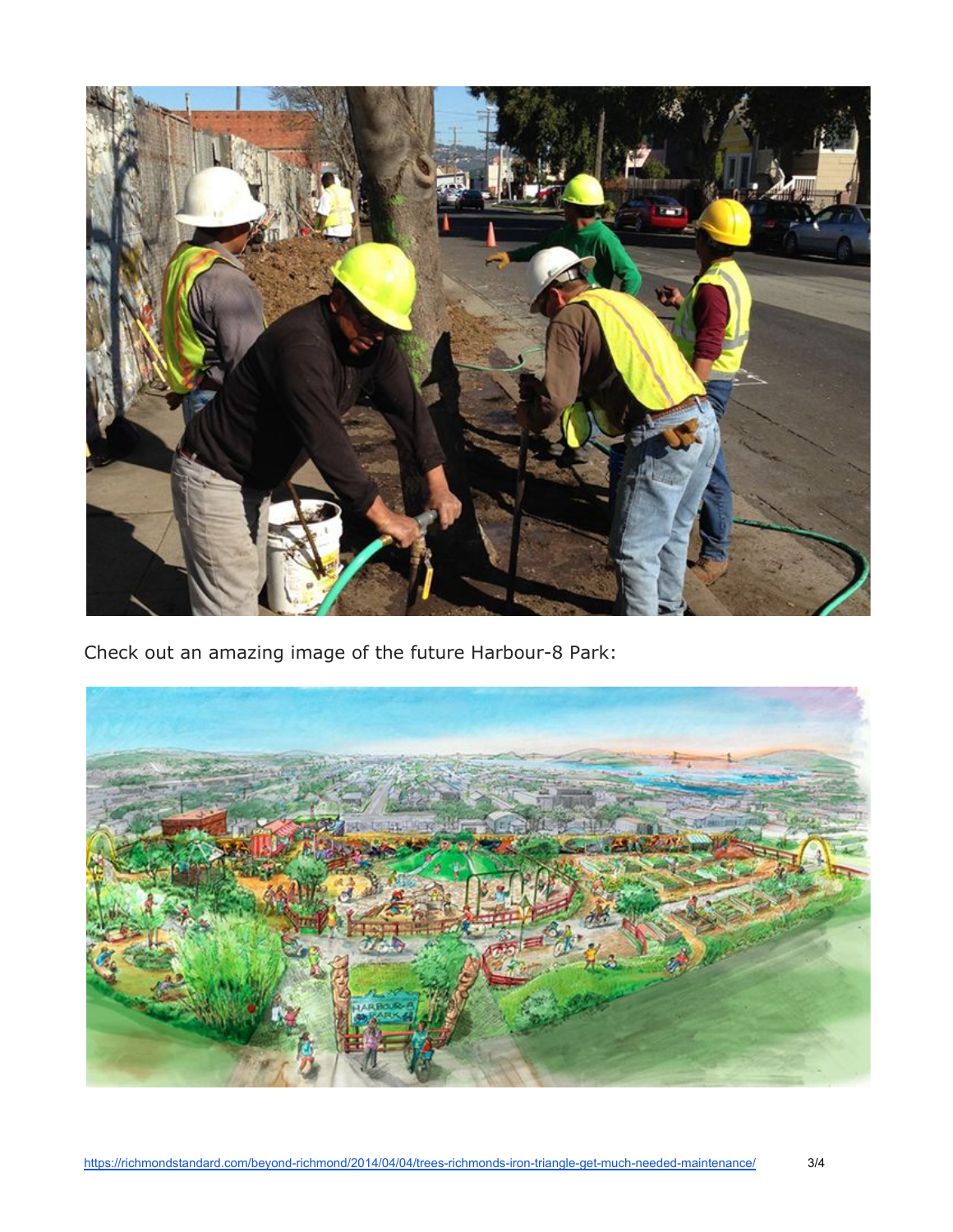

Check out an amazing image of the future Harbour-8 Park: